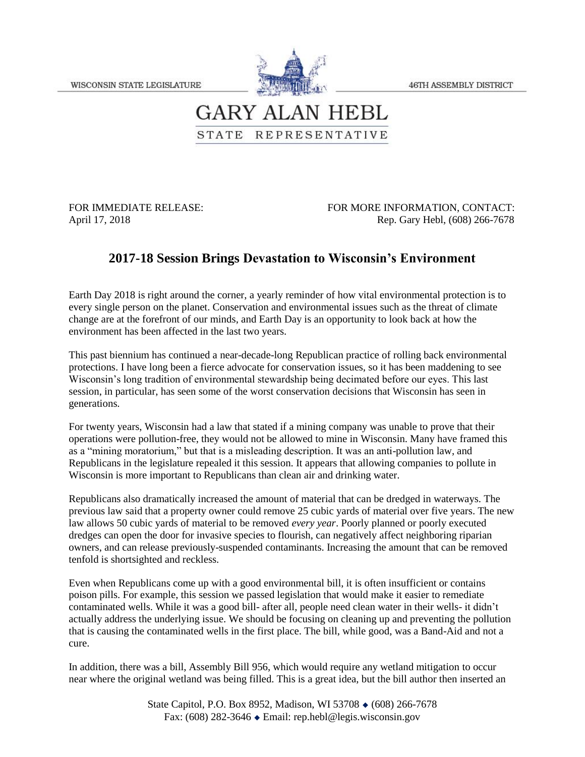46TH ASSEMBLY DISTRICT



## **GARY ALAN HEBL** STATE REPRESENTATIVE

FOR IMMEDIATE RELEASE: FOR MORE INFORMATION, CONTACT: April 17, 2018 Rep. Gary Hebl, (608) 266-7678

## **2017-18 Session Brings Devastation to Wisconsin's Environment**

Earth Day 2018 is right around the corner, a yearly reminder of how vital environmental protection is to every single person on the planet. Conservation and environmental issues such as the threat of climate change are at the forefront of our minds, and Earth Day is an opportunity to look back at how the environment has been affected in the last two years.

This past biennium has continued a near-decade-long Republican practice of rolling back environmental protections. I have long been a fierce advocate for conservation issues, so it has been maddening to see Wisconsin's long tradition of environmental stewardship being decimated before our eyes. This last session, in particular, has seen some of the worst conservation decisions that Wisconsin has seen in generations.

For twenty years, Wisconsin had a law that stated if a mining company was unable to prove that their operations were pollution-free, they would not be allowed to mine in Wisconsin. Many have framed this as a "mining moratorium," but that is a misleading description. It was an anti-pollution law, and Republicans in the legislature repealed it this session. It appears that allowing companies to pollute in Wisconsin is more important to Republicans than clean air and drinking water.

Republicans also dramatically increased the amount of material that can be dredged in waterways. The previous law said that a property owner could remove 25 cubic yards of material over five years. The new law allows 50 cubic yards of material to be removed *every year*. Poorly planned or poorly executed dredges can open the door for invasive species to flourish, can negatively affect neighboring riparian owners, and can release previously-suspended contaminants. Increasing the amount that can be removed tenfold is shortsighted and reckless.

Even when Republicans come up with a good environmental bill, it is often insufficient or contains poison pills. For example, this session we passed legislation that would make it easier to remediate contaminated wells. While it was a good bill- after all, people need clean water in their wells- it didn't actually address the underlying issue. We should be focusing on cleaning up and preventing the pollution that is causing the contaminated wells in the first place. The bill, while good, was a Band-Aid and not a cure.

In addition, there was a bill, Assembly Bill 956, which would require any wetland mitigation to occur near where the original wetland was being filled. This is a great idea, but the bill author then inserted an

> State Capitol, P.O. Box 8952, Madison, WI 53708  $\bullet$  (608) 266-7678 Fax: (608) 282-3646 Email: rep.hebl@legis.wisconsin.gov